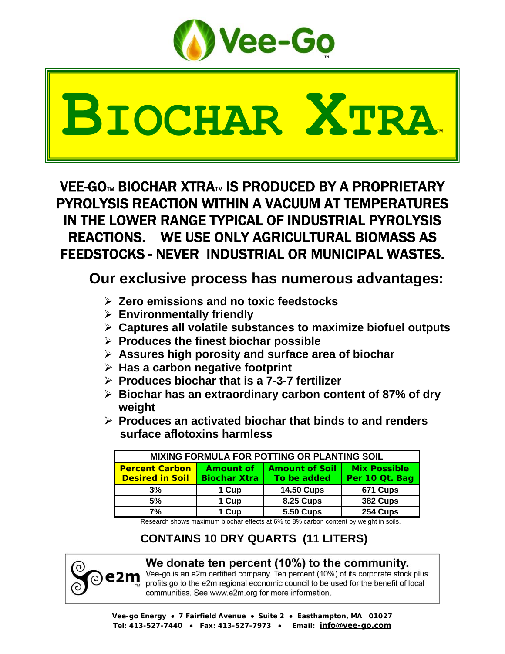

# **BIOCHAR XTRA**™

VEE-GO™ BIOCHAR XTRA™ IS PRODUCED BY A PROPRIETARY PYROLYSIS REACTION WITHIN A VACUUM AT TEMPERATURES IN THE LOWER RANGE TYPICAL OF INDUSTRIAL PYROLYSIS REACTIONS. WE USE ONLY AGRICULTURAL BIOMASS AS FEEDSTOCKS - NEVER INDUSTRIAL OR MUNICIPAL WASTES.

## **Our exclusive process has numerous advantages:**

- ¾ **Zero emissions and no toxic feedstocks**
- ¾ **Environmentally friendly**
- ¾ **Captures all volatile substances to maximize biofuel outputs**
- ¾ **Produces the finest biochar possible**
- ¾ **Assures high porosity and surface area of biochar**
- ¾ **Has a carbon negative footprint**
- ¾ **Produces biochar that is a 7-3-7 fertilizer**
- ¾ **Biochar has an extraordinary carbon content of 87% of dry weight**
- ¾ **Produces an activated biochar that binds to and renders surface aflotoxins harmless**

| MIXING FORMULA FOR POTTING OR PLANTING SOIL |                     |                       |                     |  |  |  |
|---------------------------------------------|---------------------|-----------------------|---------------------|--|--|--|
| <b>Percent Carbon</b>                       | Amount of           | <b>Amount of Soil</b> | <b>Mix Possible</b> |  |  |  |
| <b>Desired in Soil</b>                      | <b>Biochar Xtra</b> | To be added           | Per 10 Qt. Bag      |  |  |  |
| 3%                                          | 1 Cup               | <b>14.50 Cups</b>     | 671 Cups            |  |  |  |
| 5%                                          | 1 Cup               | <b>8.25 Cups</b>      | 382 Cups            |  |  |  |
| 7%                                          | 1 Cup               | <b>5.50 Cups</b>      | 254 Cups            |  |  |  |

Research shows maximum biochar effects at 6% to 8% carbon content by weight in soils.

## **CONTAINS 10 DRY QUARTS (11 LITERS)**



## We donate ten percent (10%) to the community.

Vee-go is an e2m certified company. Ten percent (10%) of its corporate stock plus profits go to the e2m regional economic council to be used for the benefit of local communities. See www.e2m.org for more information.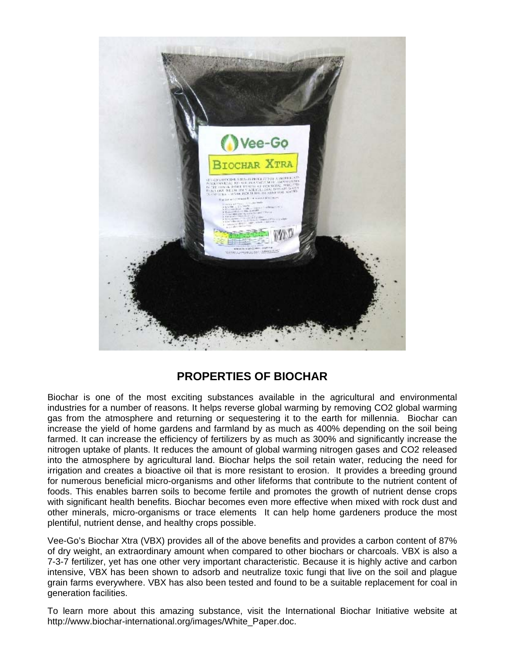

### **PROPERTIES OF BIOCHAR**

Biochar is one of the most exciting substances available in the agricultural and environmental industries for a number of reasons. It helps reverse global warming by removing CO2 global warming gas from the atmosphere and returning or sequestering it to the earth for millennia. Biochar can increase the yield of home gardens and farmland by as much as 400% depending on the soil being farmed. It can increase the efficiency of fertilizers by as much as 300% and significantly increase the nitrogen uptake of plants. It reduces the amount of global warming nitrogen gases and CO2 released into the atmosphere by agricultural land. Biochar helps the soil retain water, reducing the need for irrigation and creates a bioactive oil that is more resistant to erosion. It provides a breeding ground for numerous beneficial micro-organisms and other lifeforms that contribute to the nutrient content of foods. This enables barren soils to become fertile and promotes the growth of nutrient dense crops with significant health benefits. Biochar becomes even more effective when mixed with rock dust and other minerals, micro-organisms or trace elements It can help home gardeners produce the most plentiful, nutrient dense, and healthy crops possible.

Vee-Go's Biochar Xtra (VBX) provides all of the above benefits and provides a carbon content of 87% of dry weight, an extraordinary amount when compared to other biochars or charcoals. VBX is also a 7-3-7 fertilizer, yet has one other very important characteristic. Because it is highly active and carbon intensive, VBX has been shown to adsorb and neutralize toxic fungi that live on the soil and plague grain farms everywhere. VBX has also been tested and found to be a suitable replacement for coal in generation facilities.

To learn more about this amazing substance, visit the International Biochar Initiative website at http://www.biochar-international.org/images/White\_Paper.doc.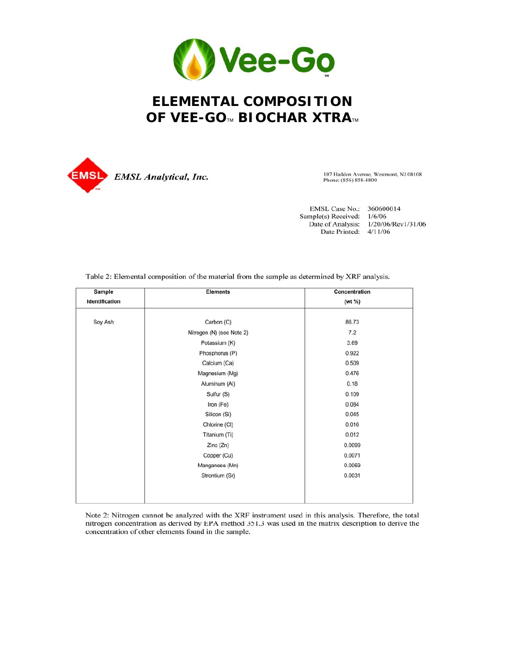

## **ELEMENTAL COMPOSITION** OF VEE-GO™ BIOCHAR XTRA™



107 Haddon Avenue, Westmont, NJ 08108 Phone: (856) 858-4800

EMSL Case No.: 360600014 Sample(s) Received: 1/6/06 Date of Analysis: 1/20/06/Rev1/31/06 Date Printed: 4/11/06

Table 2: Elemental composition of the material from the sample as determined by XRF analysis.

| Sample         | <b>Elements</b>           | Concentration |
|----------------|---------------------------|---------------|
| Identification |                           | (wt %)        |
| Soy Ash        | Carbon (C)                | 86.73         |
|                | Nitrogen (N) (see Note 2) | 7.2           |
|                | Potassium (K)             | 3.69          |
|                | Phosphorus (P)            | 0.922         |
|                | Calcium (Ca)              | 0.509         |
|                | Magnesium (Mg)            | 0.476         |
|                | Aluminum (AI)             | 0.18          |
|                | Sulfur (S)                | 0.109         |
|                | Iron (Fe)                 | 0.084         |
|                | Silicon (Si)              | 0.045         |
|                | Chlorine (CI)             | 0.016         |
|                | Titanium (Ti)             | 0.012         |
|                | Zinc (Zn)                 | 0.0099        |
|                | Copper (Cu)               | 0.0071        |
|                | Manganese (Mn)            | 0.0069        |
|                | Strontium (Sr)            | 0.0031        |
|                |                           |               |
|                |                           |               |

Note 2: Nitrogen cannot be analyzed with the XRF instrument used in this analysis. Therefore, the total nitrogen concentration as derived by EPA method 351.3 was used in the matrix description to derive the concentration of other elements found in the sample.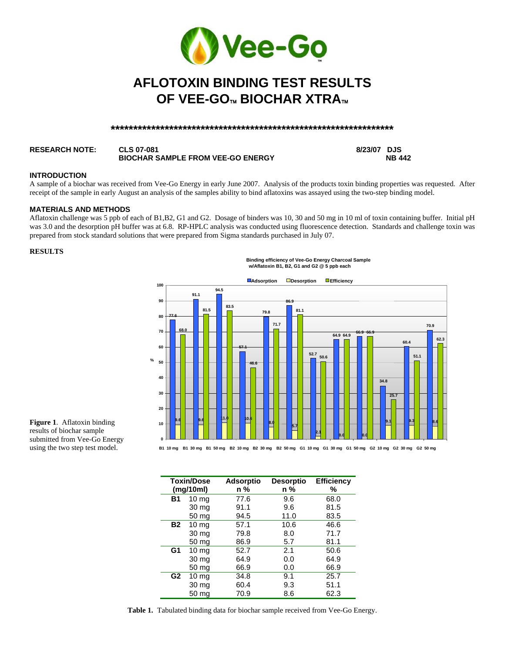

## **AFLOTOXIN BINDING TEST RESULTS OF VEE-GO**™ **BIOCHAR XTRA**™

#### **\*\*\*\*\*\*\*\*\*\*\*\*\*\*\*\*\*\*\*\*\*\*\*\*\*\*\*\*\*\*\*\*\*\*\*\*\*\*\*\*\*\*\*\*\*\*\*\*\*\*\*\*\*\*\*\*\*\*\*\*\*\*\***

#### **RESEARCH NOTE: CLS 07-081 8/23/07 DJS BIOCHAR SAMPLE FROM VEE-GO ENERGY**

#### **INTRODUCTION**

A sample of a biochar was received from Vee-Go Energy in early June 2007. Analysis of the products toxin binding properties was requested. After receipt of the sample in early August an analysis of the samples ability to bind aflatoxins was assayed using the two-step binding model.

#### **MATERIALS AND METHODS**

Aflatoxin challenge was 5 ppb of each of B1,B2, G1 and G2. Dosage of binders was 10, 30 and 50 mg in 10 ml of toxin containing buffer. Initial pH was 3.0 and the desorption pH buffer was at 6.8. RP-HPLC analysis was conducted using fluorescence detection. Standards and challenge toxin was prepared from stock standard solutions that were prepared from Sigma standards purchased in July 07.

#### **RESULTS**

**Binding efficiency of Vee-Go Energy Charcoal Sample w/Aflatoxin B1, B2, G1 and G2 @ 5 ppb each**



**Figure 1**. Aflatoxin binding results of biochar sample submitted from Vee-Go Energy using the two step test model.

|                | <b>Toxin/Dose</b><br>(mg/10ml) | <b>Adsorptio</b><br>n % | <b>Desorptio</b><br>n % | <b>Efficiency</b><br>% |
|----------------|--------------------------------|-------------------------|-------------------------|------------------------|
| <b>B1</b>      | 10 <sub>mg</sub>               | 77.6                    | 9.6                     | 68.0                   |
|                | 30 mg                          | 91.1                    | 9.6                     | 81.5                   |
|                | 50 <sub>mg</sub>               | 94.5                    | 11.0                    | 83.5                   |
| <b>B2</b>      | 10 <sub>mg</sub>               | 57.1                    | 10.6                    | 46.6                   |
|                | 30 mg                          | 79.8                    | 8.0                     | 71.7                   |
|                | 50 mg                          | 86.9                    | 5.7                     | 81.1                   |
| G1             | 10 <sub>mg</sub>               | 52.7                    | 2.1                     | 50.6                   |
|                | 30 mg                          | 64.9                    | 0.0                     | 64.9                   |
|                | 50 mg                          | 66.9                    | 0.0                     | 66.9                   |
| G <sub>2</sub> | 10 <sub>mg</sub>               | 34.8                    | 9.1                     | 25.7                   |
|                | 30 mg                          | 60.4                    | 9.3                     | 51.1                   |
|                | 50 mg                          | 70.9                    | 8.6                     | 62.3                   |

**Table 1.** Tabulated binding data for biochar sample received from Vee-Go Energy.